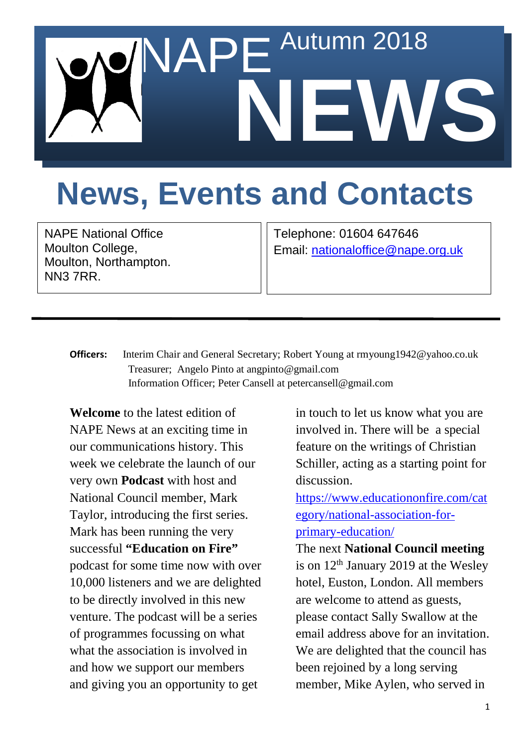

## **News, Events and Contacts**

NAPE National Office Moulton College, Moulton, Northampton. NN3 7RR.

Telephone: 01604 647646 Email: [nationaloffice@nape.org.uk](mailto:nationaloffice@nape.org.uk)

**Officers:** Interim Chair and General Secretary; Robert Young at rmyoung1942@yahoo.co.uk Treasurer; Angelo Pinto at angpinto@gmail.com Information Officer; Peter Cansell at petercansell@gmail.com

**Welcome** to the latest edition of NAPE News at an exciting time in our communications history. This week we celebrate the launch of our very own **Podcast** with host and National Council member, Mark Taylor, introducing the first series. Mark has been running the very successful **"Education on Fire"** podcast for some time now with over 10,000 listeners and we are delighted to be directly involved in this new venture. The podcast will be a series of programmes focussing on what what the association is involved in and how we support our members and giving you an opportunity to get

in touch to let us know what you are involved in. There will be a special feature on the writings of Christian Schiller, acting as a starting point for discussion.

[https://www.educationonfire.com/cat](https://www.educationonfire.com/category/national-association-for-primary-education/) [egory/national-association-for](https://www.educationonfire.com/category/national-association-for-primary-education/)[primary-education/](https://www.educationonfire.com/category/national-association-for-primary-education/)

The next **National Council meeting** is on  $12<sup>th</sup>$  January 2019 at the Wesley hotel, Euston, London. All members are welcome to attend as guests, please contact Sally Swallow at the email address above for an invitation. We are delighted that the council has been rejoined by a long serving member, Mike Aylen, who served in